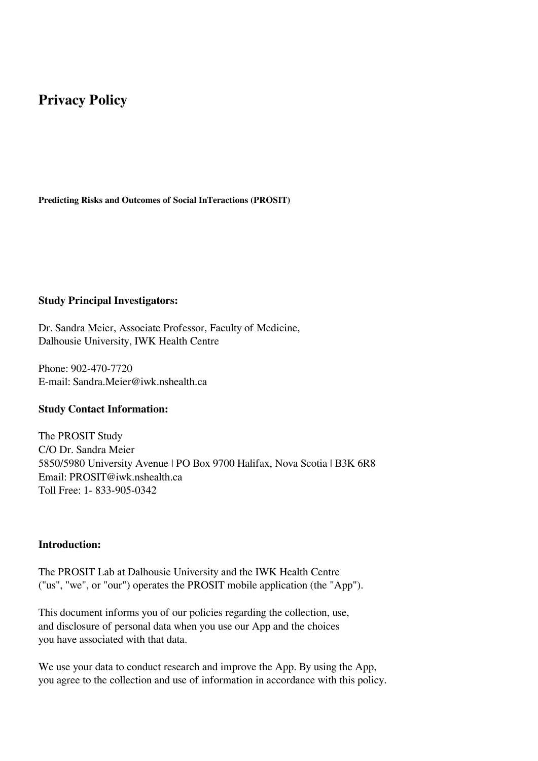# **Privacy Policy**

**Predicting Risks and Outcomes of Social InTeractions (PROSIT)**

#### **Study Principal Investigators:**

Dr. Sandra Meier, Associate Professor, Faculty of Medicine, Dalhousie University, IWK Health Centre

Phone: 902-470-7720 E-mail: Sandra.Meier@iwk.nshealth.ca

#### **Study Contact Information:**

The PROSIT Study C/O Dr. Sandra Meier 5850/5980 University Avenue | PO Box 9700 Halifax, Nova Scotia | B3K 6R8 Email: PROSIT@iwk.nshealth.ca Toll Free: 1- 833-905-0342

#### **Introduction:**

The PROSIT Lab at Dalhousie University and the IWK Health Centre ("us", "we", or "our") operates the PROSIT mobile application (the "App").

This document informs you of our policies regarding the collection, use, and disclosure of personal data when you use our App and the choices you have associated with that data.

We use your data to conduct research and improve the App. By using the App, you agree to the collection and use of information in accordance with this policy.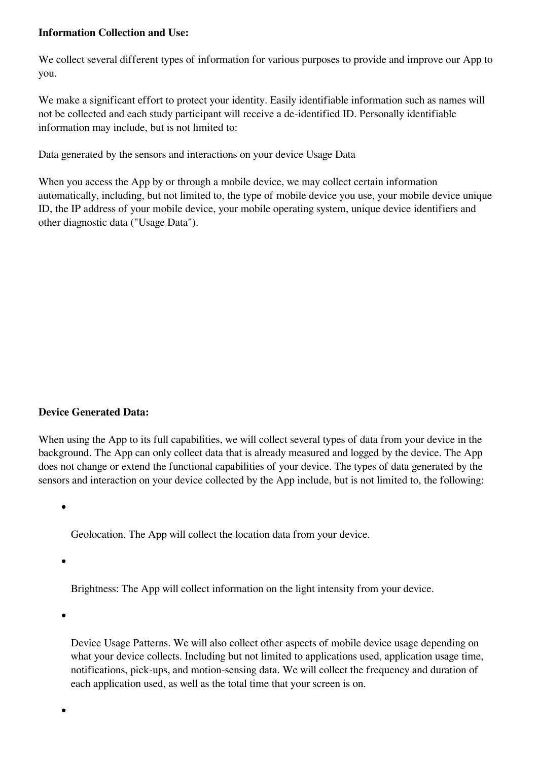# **Information Collection and Use:**

We collect several different types of information for various purposes to provide and improve our App to you.

We make a significant effort to protect your identity. Easily identifiable information such as names will not be collected and each study participant will receive a de-identified ID. Personally identifiable information may include, but is not limited to:

Data generated by the sensors and interactions on your device Usage Data

When you access the App by or through a mobile device, we may collect certain information automatically, including, but not limited to, the type of mobile device you use, your mobile device unique ID, the IP address of your mobile device, your mobile operating system, unique device identifiers and other diagnostic data ("Usage Data").

# **Device Generated Data:**

When using the App to its full capabilities, we will collect several types of data from your device in the background. The App can only collect data that is already measured and logged by the device. The App does not change or extend the functional capabilities of your device. The types of data generated by the sensors and interaction on your device collected by the App include, but is not limited to, the following:

Geolocation. The App will collect the location data from your device.

Brightness: The App will collect information on the light intensity from your device.

Device Usage Patterns. We will also collect other aspects of mobile device usage depending on what your device collects. Including but not limited to applications used, application usage time, notifications, pick-ups, and motion-sensing data. We will collect the frequency and duration of each application used, as well as the total time that your screen is on.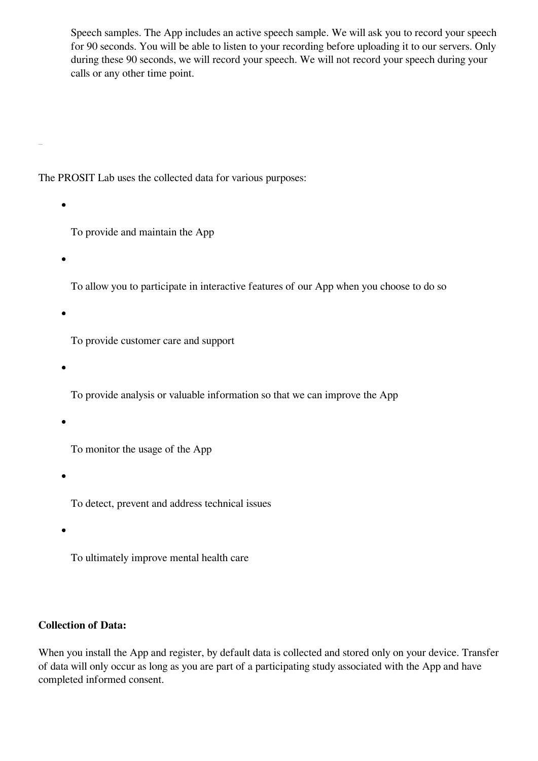Speech samples. The App includes an active speech sample. We will ask you to record your speech for 90 seconds. You will be able to listen to your recording before uploading it to our servers. Only during these 90 seconds, we will record your speech. We will not record your speech during your calls or any other time point.

The PROSIT Lab uses the collected data for various purposes:

- To provide and maintain the App
- 

To allow you to participate in interactive features of our App when you choose to do so

To provide customer care and support

To provide analysis or valuable information so that we can improve the App

To monitor the usage of the App

To detect, prevent and address technical issues

To ultimately improve mental health care

# **Collection of Data:**

When you install the App and register, by default data is collected and stored only on your device. Transfer of data will only occur as long as you are part of a participating study associated with the App and have completed informed consent.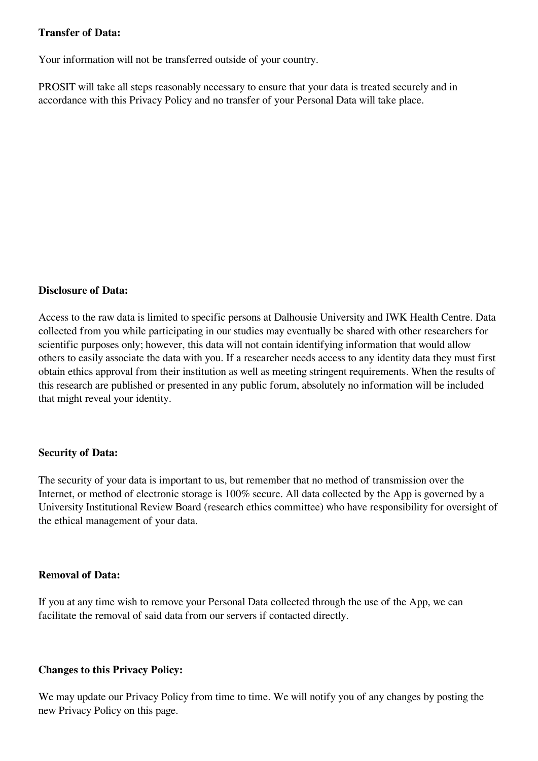## **Transfer of Data:**

Your information will not be transferred outside of your country.

PROSIT will take all steps reasonably necessary to ensure that your data is treated securely and in accordance with this Privacy Policy and no transfer of your Personal Data will take place.

### **Disclosure of Data:**

Access to the raw data is limited to specific persons at Dalhousie University and IWK Health Centre. Data collected from you while participating in our studies may eventually be shared with other researchers for scientific purposes only; however, this data will not contain identifying information that would allow others to easily associate the data with you. If a researcher needs access to any identity data they must first obtain ethics approval from their institution as well as meeting stringent requirements. When the results of this research are published or presented in any public forum, absolutely no information will be included that might reveal your identity.

# **Security of Data:**

The security of your data is important to us, but remember that no method of transmission over the Internet, or method of electronic storage is 100% secure. All data collected by the App is governed by a University Institutional Review Board (research ethics committee) who have responsibility for oversight of the ethical management of your data.

#### **Removal of Data:**

If you at any time wish to remove your Personal Data collected through the use of the App, we can facilitate the removal of said data from our servers if contacted directly.

#### **Changes to this Privacy Policy:**

We may update our Privacy Policy from time to time. We will notify you of any changes by posting the new Privacy Policy on this page.